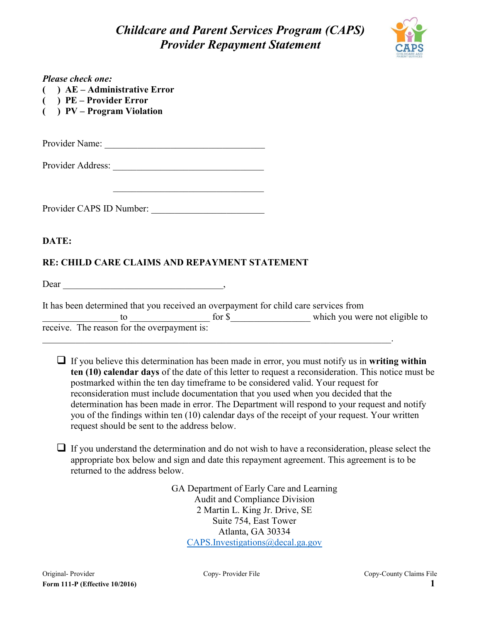

## *Childcare and Parent Services Program (CAPS) Provider Repayment Statement*

| Please check one:<br>$( )$ AE – Administrative Error<br>$( )$ PE – Provider Error<br>( ) PV – Program Violation                                                                                                                  |  |
|----------------------------------------------------------------------------------------------------------------------------------------------------------------------------------------------------------------------------------|--|
| Provider Name:                                                                                                                                                                                                                   |  |
|                                                                                                                                                                                                                                  |  |
| <u> 1989 - Johann Barn, mars eta bainar eta baina eta baina eta baina eta baina eta baina eta baina eta baina e</u><br>Provider CAPS ID Number:                                                                                  |  |
| DATE:                                                                                                                                                                                                                            |  |
| <b>RE: CHILD CARE CLAIMS AND REPAYMENT STATEMENT</b>                                                                                                                                                                             |  |
| Dear                                                                                                                                                                                                                             |  |
| $\mathbf{v}$ and the state of the state of the state of the state of the state of the state of the state of the state of the state of the state of the state of the state of the state of the state of the state of the state of |  |

| It has been determined that you received an overpayment for child care services from |        |                                |
|--------------------------------------------------------------------------------------|--------|--------------------------------|
|                                                                                      | for \$ | which you were not eligible to |
| receive. The reason for the overpayment is:                                          |        |                                |
|                                                                                      |        |                                |

 $\Box$  If you believe this determination has been made in error, you must notify us in **writing** within **ten (10) calendar days** of the date of this letter to request a reconsideration. This notice must be postmarked within the ten day timeframe to be considered valid. Your request for reconsideration must include documentation that you used when you decided that the determination has been made in error. The Department will respond to your request and notify you of the findings within ten (10) calendar days of the receipt of your request. Your written request should be sent to the address below.

 $\Box$  If you understand the determination and do not wish to have a reconsideration, please select the appropriate box below and sign and date this repayment agreement. This agreement is to be returned to the address below.

> GA Department of Early Care and Learning Audit and Compliance Division 2 Martin L. King Jr. Drive, SE Suite 754, East Tower Atlanta, GA 30334 [CAPS.Investigations@decal.ga.gov](mailto:CAPS.Investigations@decal.ga.gov)